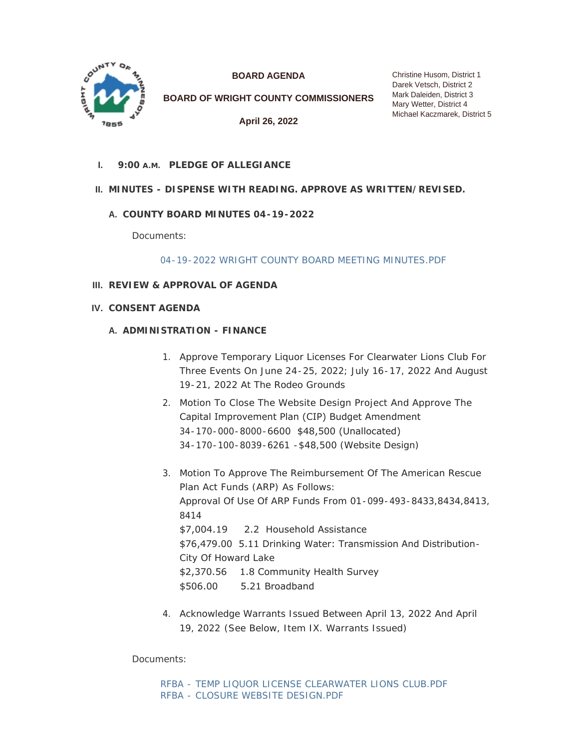

**BOARD AGENDA**

**BOARD OF WRIGHT COUNTY COMMISSIONERS**

**April 26, 2022**

**PLEDGE OF ALLEGIANCE I. 9:00 A.M.**

# **MINUTES - DISPENSE WITH READING. APPROVE AS WRITTEN/REVISED. II.**

# **COUNTY BOARD MINUTES 04-19-2022 A.**

Documents:

[04-19-2022 WRIGHT COUNTY BOARD MEETING MINUTES.PDF](https://www.co.wright.mn.us/AgendaCenter/ViewFile/Item/10597?fileID=23013)

## **REVIEW & APPROVAL OF AGENDA III.**

**CONSENT AGENDA IV.**

### **A. ADMINISTRATION - FINANCE**

- 1. Approve Temporary Liquor Licenses For Clearwater Lions Club For Three Events On June 24-25, 2022; July 16-17, 2022 And August 19-21, 2022 At The Rodeo Grounds
- 2. Motion To Close The Website Design Project And Approve The Capital Improvement Plan (CIP) Budget Amendment 34-170-000-8000-6600 \$48,500 (Unallocated) 34-170-100-8039-6261 -\$48,500 (Website Design)
- 3. Motion To Approve The Reimbursement Of The American Rescue Plan Act Funds (ARP) As Follows: Approval Of Use Of ARP Funds From 01-099-493-8433,8434,8413, 8414 \$7,004.19 2.2 Household Assistance \$76,479.00 5.11 Drinking Water: Transmission And Distribution-City Of Howard Lake \$2,370.56 1.8 Community Health Survey \$506.00 5.21 Broadband
- 4. Acknowledge Warrants Issued Between April 13, 2022 And April 19, 2022 *(See Below, Item IX. Warrants Issued)*

Documents:

[RFBA - TEMP LIQUOR LICENSE CLEARWATER LIONS CLUB.PDF](https://www.co.wright.mn.us/AgendaCenter/ViewFile/Item/10596?fileID=22997) [RFBA - CLOSURE WEBSITE DESIGN.PDF](https://www.co.wright.mn.us/AgendaCenter/ViewFile/Item/10596?fileID=22998)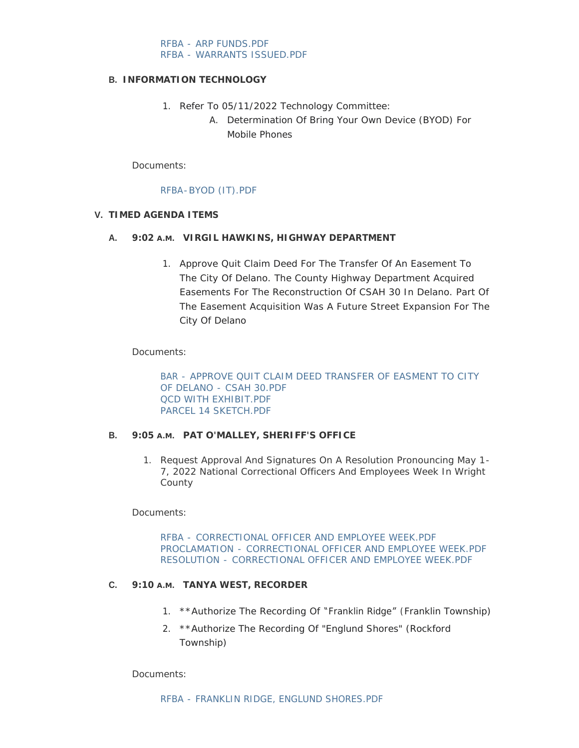[RFBA - ARP FUNDS.PDF](https://www.co.wright.mn.us/AgendaCenter/ViewFile/Item/10596?fileID=23011) [RFBA - WARRANTS ISSUED.PDF](https://www.co.wright.mn.us/AgendaCenter/ViewFile/Item/10596?fileID=23005)

#### **INFORMATION TECHNOLOGY B.**

- 1. Refer To 05/11/2022 Technology Committee:
	- A. Determination Of Bring Your Own Device (BYOD) For Mobile Phones

Documents:

## [RFBA-BYOD \(IT\).PDF](https://www.co.wright.mn.us/AgendaCenter/ViewFile/Item/10603?fileID=23019)

## **TIMED AGENDA ITEMS V.**

### **VIRGIL HAWKINS, HIGHWAY DEPARTMENT A. 9:02 A.M.**

1. Approve Quit Claim Deed For The Transfer Of An Easement To The City Of Delano. The County Highway Department Acquired Easements For The Reconstruction Of CSAH 30 In Delano. Part Of The Easement Acquisition Was A Future Street Expansion For The City Of Delano

# Documents:

[BAR - APPROVE QUIT CLAIM DEED TRANSFER OF EASMENT TO CITY](https://www.co.wright.mn.us/AgendaCenter/ViewFile/Item/10600?fileID=23003)  OF DELANO - CSAH 30.PDF [QCD WITH EXHIBIT.PDF](https://www.co.wright.mn.us/AgendaCenter/ViewFile/Item/10600?fileID=23002) [PARCEL 14 SKETCH.PDF](https://www.co.wright.mn.us/AgendaCenter/ViewFile/Item/10600?fileID=23004)

#### B. 9:05 A.M. PAT O'MALLEY, SHERIFF'S OFFICE

1. Request Approval And Signatures On A Resolution Pronouncing May 1- 7, 2022 National Correctional Officers And Employees Week In Wright County

Documents:

RFBA - CORRECTIONAL OFFICER AND EMPLOYEE WEEK PDE PROCLAMATION - [CORRECTIONAL OFFICER AND EMPLOYEE WEEK.PDF](https://www.co.wright.mn.us/AgendaCenter/ViewFile/Item/10581?fileID=23052) RESOLUTION - [CORRECTIONAL OFFICER AND EMPLOYEE WEEK.PDF](https://www.co.wright.mn.us/AgendaCenter/ViewFile/Item/10581?fileID=23051)

# **C.** 9:10 A.M. TANYA WEST, RECORDER

- 1. \*\*Authorize The Recording Of "Franklin Ridge" (Franklin Township)
- 2. \*\*Authorize The Recording Of "Englund Shores" (Rockford Township)

Documents: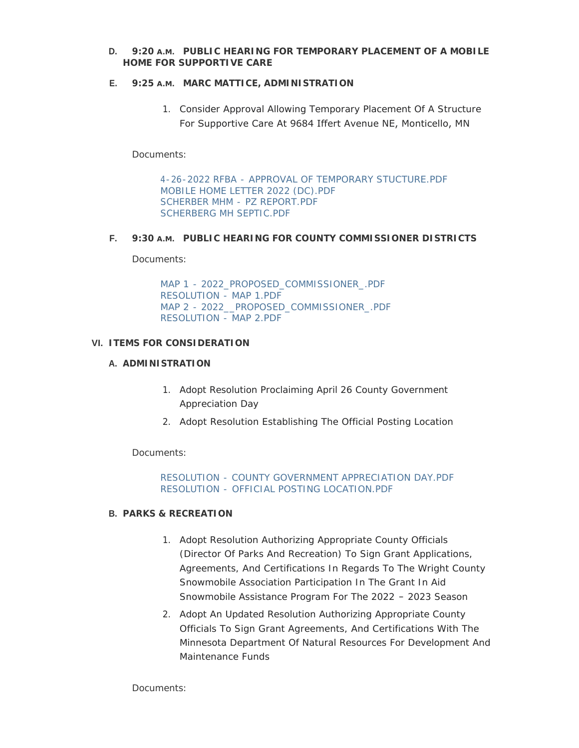**D.** 9:20 A.M. PUBLIC HEARING FOR TEMPORARY PLACEMENT OF A MOBILE **HOME FOR SUPPORTIVE CARE**

### **E.** 9:25 A.M. MARC MATTICE, ADMINISTRATION

1. Consider Approval Allowing Temporary Placement Of A Structure For Supportive Care At 9684 Iffert Avenue NE, Monticello, MN

Documents:

[4-26-2022 RFBA - APPROVAL OF TEMPORARY STUCTURE.PDF](https://www.co.wright.mn.us/AgendaCenter/ViewFile/Item/10602?fileID=23007) [MOBILE HOME LETTER 2022 \(DC\).PDF](https://www.co.wright.mn.us/AgendaCenter/ViewFile/Item/10602?fileID=23008) [SCHERBER MHM - PZ REPORT.PDF](https://www.co.wright.mn.us/AgendaCenter/ViewFile/Item/10602?fileID=23009) [SCHERBERG MH SEPTIC.PDF](https://www.co.wright.mn.us/AgendaCenter/ViewFile/Item/10602?fileID=23010)

### **F. 9:30** A.M. PUBLIC HEARING FOR COUNTY COMMISSIONER DISTRICTS

Documents:

[MAP 1 - 2022\\_PROPOSED\\_COMMISSIONER\\_.PDF](https://www.co.wright.mn.us/AgendaCenter/ViewFile/Item/10594?fileID=23024) [RESOLUTION - MAP 1.PDF](https://www.co.wright.mn.us/AgendaCenter/ViewFile/Item/10594?fileID=23023) [MAP 2 - 2022\\_\\_PROPOSED\\_COMMISSIONER\\_.PDF](https://www.co.wright.mn.us/AgendaCenter/ViewFile/Item/10594?fileID=23025) [RESOLUTION - MAP 2.PDF](https://www.co.wright.mn.us/AgendaCenter/ViewFile/Item/10594?fileID=23022)

### **ITEMS FOR CONSIDERATION VI.**

### **A. ADMINISTRATION**

- 1. Adopt Resolution Proclaiming April 26 County Government Appreciation Day
- 2. Adopt Resolution Establishing The Official Posting Location

Documents:

[RESOLUTION - COUNTY GOVERNMENT APPRECIATION DAY.PDF](https://www.co.wright.mn.us/AgendaCenter/ViewFile/Item/10604?fileID=23020) RESOLUTION - [OFFICIAL POSTING LOCATION.PDF](https://www.co.wright.mn.us/AgendaCenter/ViewFile/Item/10604?fileID=23021)

# **PARKS & RECREATION B.**

- 1. Adopt Resolution Authorizing Appropriate County Officials (Director Of Parks And Recreation) To Sign Grant Applications, Agreements, And Certifications In Regards To The Wright County Snowmobile Association Participation In The Grant In Aid Snowmobile Assistance Program For The 2022 – 2023 Season
- 2. Adopt An Updated Resolution Authorizing Appropriate County Officials To Sign Grant Agreements, And Certifications With The Minnesota Department Of Natural Resources For Development And Maintenance Funds